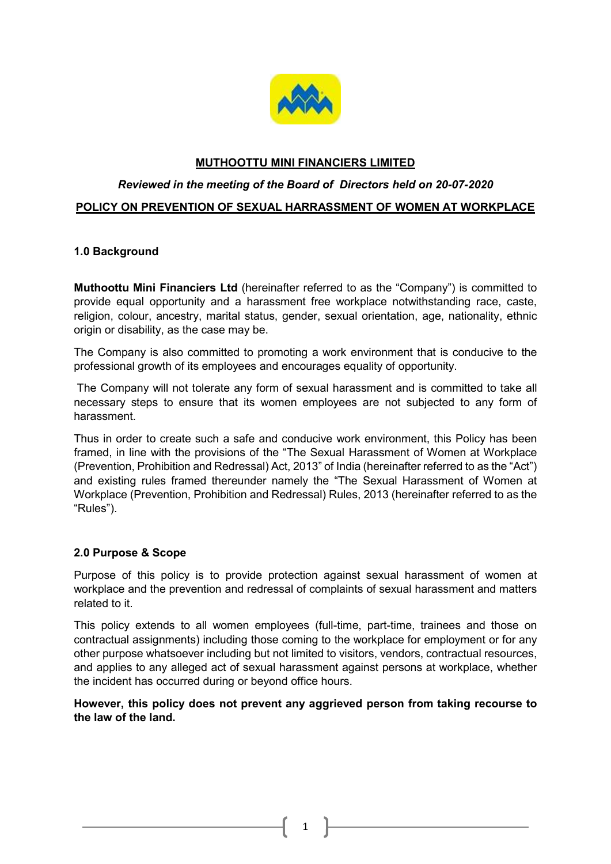

# MUTHOOTTU MINI FINANCIERS LIMITED

# Reviewed in the meeting of the Board of Directors held on 20-07-2020

# POLICY ON PREVENTION OF SEXUAL HARRASSMENT OF WOMEN AT WORKPLACE

# 1.0 Background

Muthoottu Mini Financiers Ltd (hereinafter referred to as the "Company") is committed to provide equal opportunity and a harassment free workplace notwithstanding race, caste, religion, colour, ancestry, marital status, gender, sexual orientation, age, nationality, ethnic origin or disability, as the case may be.

The Company is also committed to promoting a work environment that is conducive to the professional growth of its employees and encourages equality of opportunity.

 The Company will not tolerate any form of sexual harassment and is committed to take all necessary steps to ensure that its women employees are not subjected to any form of harassment.

Thus in order to create such a safe and conducive work environment, this Policy has been framed, in line with the provisions of the "The Sexual Harassment of Women at Workplace (Prevention, Prohibition and Redressal) Act, 2013" of India (hereinafter referred to as the "Act") and existing rules framed thereunder namely the "The Sexual Harassment of Women at Workplace (Prevention, Prohibition and Redressal) Rules, 2013 (hereinafter referred to as the "Rules").

## 2.0 Purpose & Scope

Purpose of this policy is to provide protection against sexual harassment of women at workplace and the prevention and redressal of complaints of sexual harassment and matters related to it.

This policy extends to all women employees (full-time, part-time, trainees and those on contractual assignments) including those coming to the workplace for employment or for any other purpose whatsoever including but not limited to visitors, vendors, contractual resources, and applies to any alleged act of sexual harassment against persons at workplace, whether the incident has occurred during or beyond office hours.

# However, this policy does not prevent any aggrieved person from taking recourse to the law of the land.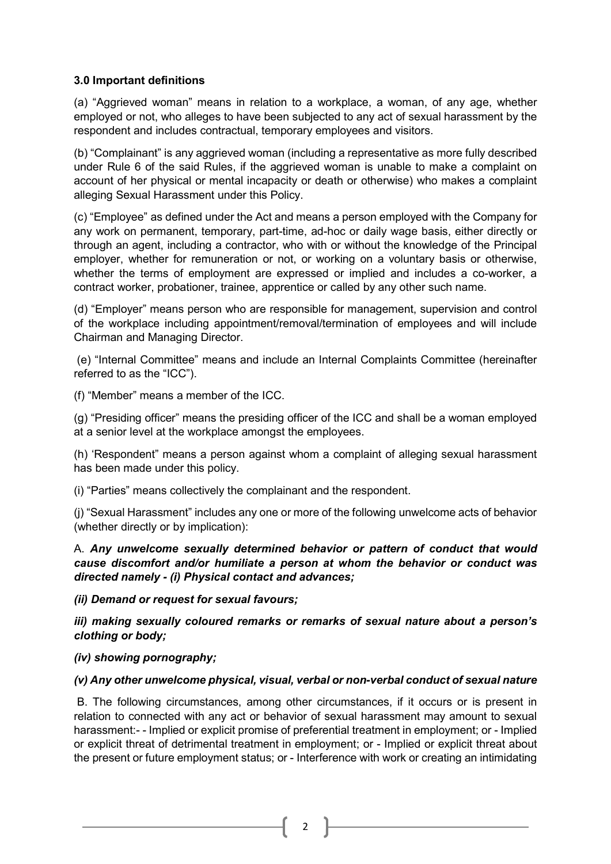# 3.0 Important definitions

(a) "Aggrieved woman" means in relation to a workplace, a woman, of any age, whether employed or not, who alleges to have been subjected to any act of sexual harassment by the respondent and includes contractual, temporary employees and visitors.

(b) "Complainant" is any aggrieved woman (including a representative as more fully described under Rule 6 of the said Rules, if the aggrieved woman is unable to make a complaint on account of her physical or mental incapacity or death or otherwise) who makes a complaint alleging Sexual Harassment under this Policy.

(c) "Employee" as defined under the Act and means a person employed with the Company for any work on permanent, temporary, part-time, ad-hoc or daily wage basis, either directly or through an agent, including a contractor, who with or without the knowledge of the Principal employer, whether for remuneration or not, or working on a voluntary basis or otherwise, whether the terms of employment are expressed or implied and includes a co-worker, a contract worker, probationer, trainee, apprentice or called by any other such name.

(d) "Employer" means person who are responsible for management, supervision and control of the workplace including appointment/removal/termination of employees and will include Chairman and Managing Director.

 (e) "Internal Committee" means and include an Internal Complaints Committee (hereinafter referred to as the "ICC").

(f) "Member" means a member of the ICC.

(g) "Presiding officer" means the presiding officer of the ICC and shall be a woman employed at a senior level at the workplace amongst the employees.

(h) 'Respondent" means a person against whom a complaint of alleging sexual harassment has been made under this policy.

(i) "Parties" means collectively the complainant and the respondent.

(j) "Sexual Harassment" includes any one or more of the following unwelcome acts of behavior (whether directly or by implication):

A. Any unwelcome sexually determined behavior or pattern of conduct that would cause discomfort and/or humiliate a person at whom the behavior or conduct was directed namely - (i) Physical contact and advances;

(ii) Demand or request for sexual favours;

iii) making sexually coloured remarks or remarks of sexual nature about a person's clothing or body;

## (iv) showing pornography;

## (v) Any other unwelcome physical, visual, verbal or non-verbal conduct of sexual nature

B. The following circumstances, among other circumstances, if it occurs or is present in relation to connected with any act or behavior of sexual harassment may amount to sexual harassment:- - Implied or explicit promise of preferential treatment in employment; or - Implied or explicit threat of detrimental treatment in employment; or - Implied or explicit threat about the present or future employment status; or - Interference with work or creating an intimidating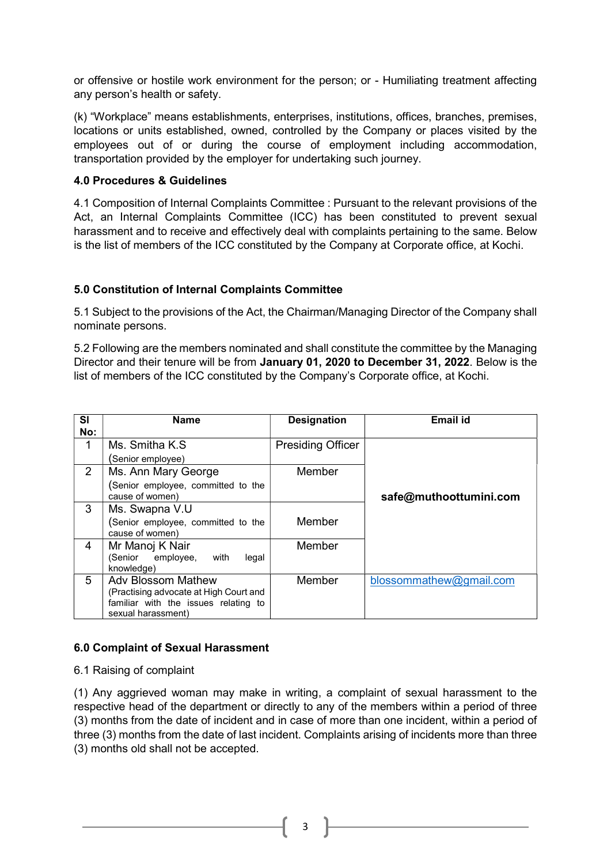or offensive or hostile work environment for the person; or - Humiliating treatment affecting any person's health or safety.

(k) "Workplace" means establishments, enterprises, institutions, offices, branches, premises, locations or units established, owned, controlled by the Company or places visited by the employees out of or during the course of employment including accommodation, transportation provided by the employer for undertaking such journey.

## 4.0 Procedures & Guidelines

4.1 Composition of Internal Complaints Committee : Pursuant to the relevant provisions of the Act, an Internal Complaints Committee (ICC) has been constituted to prevent sexual harassment and to receive and effectively deal with complaints pertaining to the same. Below is the list of members of the ICC constituted by the Company at Corporate office, at Kochi.

## 5.0 Constitution of Internal Complaints Committee

5.1 Subject to the provisions of the Act, the Chairman/Managing Director of the Company shall nominate persons.

5.2 Following are the members nominated and shall constitute the committee by the Managing Director and their tenure will be from January 01, 2020 to December 31, 2022. Below is the list of members of the ICC constituted by the Company's Corporate office, at Kochi.

| <b>SI</b><br>No: | Name                                                                                                                              | <b>Designation</b> | Email id                |
|------------------|-----------------------------------------------------------------------------------------------------------------------------------|--------------------|-------------------------|
| 1                | Ms. Smitha K.S.<br>(Senior employee)                                                                                              | Presiding Officer  |                         |
| $\overline{2}$   | Ms. Ann Mary George<br>Senior employee, committed to the<br>cause of women)                                                       | Member             | safe@muthoottumini.com  |
| 3                | Ms. Swapna V.U<br>(Senior employee, committed to the<br>cause of women)                                                           | Member             |                         |
| 4                | Mr Manoj K Nair<br>(Senior employee,<br>with<br>legal<br>knowledge)                                                               | Member             |                         |
| 5                | <b>Adv Blossom Mathew</b><br>(Practising advocate at High Court and<br>familiar with the issues relating to<br>sexual harassment) | Member             | blossommathew@gmail.com |

## 6.0 Complaint of Sexual Harassment

6.1 Raising of complaint

(1) Any aggrieved woman may make in writing, a complaint of sexual harassment to the respective head of the department or directly to any of the members within a period of three (3) months from the date of incident and in case of more than one incident, within a period of three (3) months from the date of last incident. Complaints arising of incidents more than three (3) months old shall not be accepted.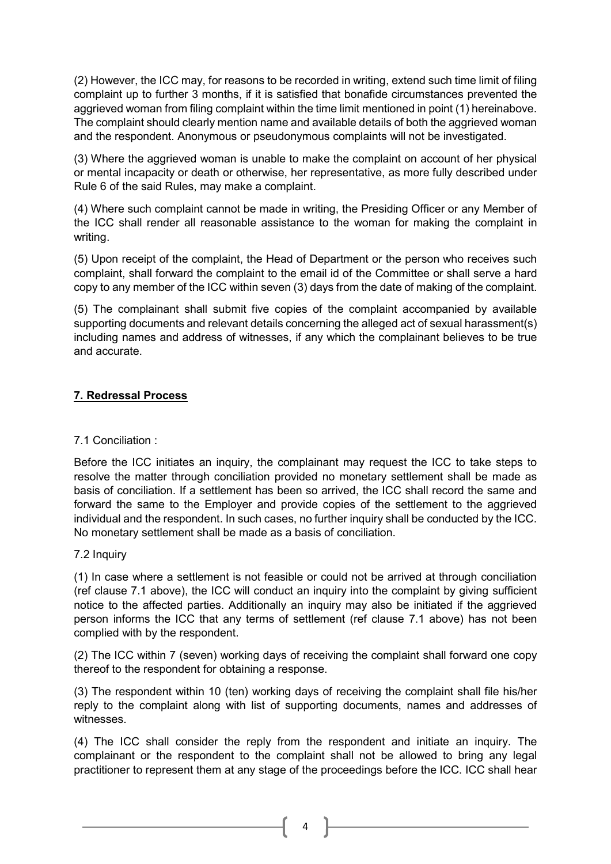(2) However, the ICC may, for reasons to be recorded in writing, extend such time limit of filing complaint up to further 3 months, if it is satisfied that bonafide circumstances prevented the aggrieved woman from filing complaint within the time limit mentioned in point (1) hereinabove. The complaint should clearly mention name and available details of both the aggrieved woman and the respondent. Anonymous or pseudonymous complaints will not be investigated.

(3) Where the aggrieved woman is unable to make the complaint on account of her physical or mental incapacity or death or otherwise, her representative, as more fully described under Rule 6 of the said Rules, may make a complaint.

(4) Where such complaint cannot be made in writing, the Presiding Officer or any Member of the ICC shall render all reasonable assistance to the woman for making the complaint in writing.

(5) Upon receipt of the complaint, the Head of Department or the person who receives such complaint, shall forward the complaint to the email id of the Committee or shall serve a hard copy to any member of the ICC within seven (3) days from the date of making of the complaint.

(5) The complainant shall submit five copies of the complaint accompanied by available supporting documents and relevant details concerning the alleged act of sexual harassment(s) including names and address of witnesses, if any which the complainant believes to be true and accurate.

# 7. Redressal Process

# 7.1 Conciliation :

Before the ICC initiates an inquiry, the complainant may request the ICC to take steps to resolve the matter through conciliation provided no monetary settlement shall be made as basis of conciliation. If a settlement has been so arrived, the ICC shall record the same and forward the same to the Employer and provide copies of the settlement to the aggrieved individual and the respondent. In such cases, no further inquiry shall be conducted by the ICC. No monetary settlement shall be made as a basis of conciliation.

## 7.2 Inquiry

(1) In case where a settlement is not feasible or could not be arrived at through conciliation (ref clause 7.1 above), the ICC will conduct an inquiry into the complaint by giving sufficient notice to the affected parties. Additionally an inquiry may also be initiated if the aggrieved person informs the ICC that any terms of settlement (ref clause 7.1 above) has not been complied with by the respondent.

(2) The ICC within 7 (seven) working days of receiving the complaint shall forward one copy thereof to the respondent for obtaining a response.

(3) The respondent within 10 (ten) working days of receiving the complaint shall file his/her reply to the complaint along with list of supporting documents, names and addresses of witnesses.

(4) The ICC shall consider the reply from the respondent and initiate an inquiry. The complainant or the respondent to the complaint shall not be allowed to bring any legal practitioner to represent them at any stage of the proceedings before the ICC. ICC shall hear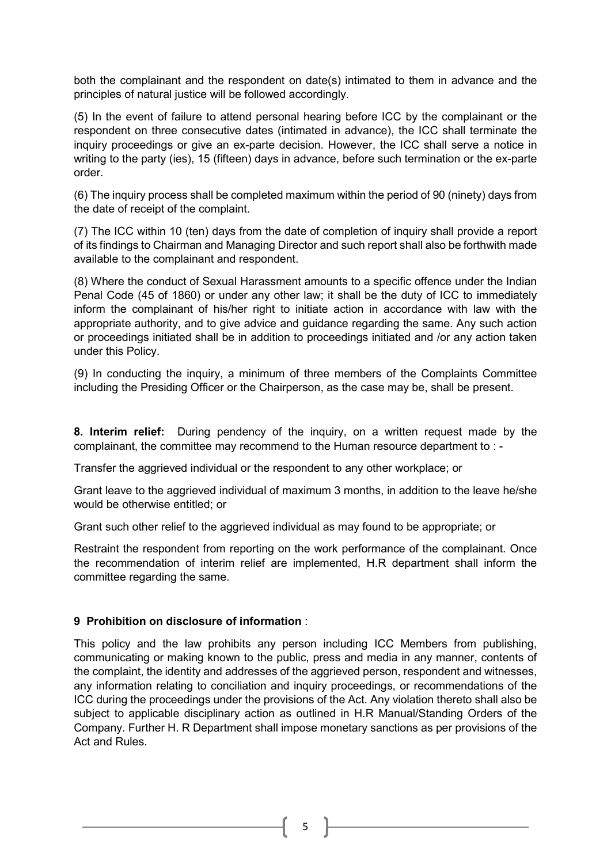both the complainant and the respondent on date(s) intimated to them in advance and the principles of natural justice will be followed accordingly.

(5) In the event of failure to attend personal hearing before ICC by the complainant or the respondent on three consecutive dates (intimated in advance), the ICC shall terminate the inquiry proceedings or give an ex-parte decision. However, the ICC shall serve a notice in writing to the party (ies), 15 (fifteen) days in advance, before such termination or the ex-parte order.

(6) The inquiry process shall be completed maximum within the period of 90 (ninety) days from the date of receipt of the complaint.

(7) The ICC within 10 (ten) days from the date of completion of inquiry shall provide a report of its findings to Chairman and Managing Director and such report shall also be forthwith made available to the complainant and respondent.

(8) Where the conduct of Sexual Harassment amounts to a specific offence under the Indian Penal Code (45 of 1860) or under any other law; it shall be the duty of ICC to immediately inform the complainant of his/her right to initiate action in accordance with law with the appropriate authority, and to give advice and guidance regarding the same. Any such action or proceedings initiated shall be in addition to proceedings initiated and /or any action taken under this Policy.

(9) In conducting the inquiry, a minimum of three members of the Complaints Committee including the Presiding Officer or the Chairperson, as the case may be, shall be present.

8. Interim relief: During pendency of the inquiry, on a written request made by the complainant, the committee may recommend to the Human resource department to : -

Transfer the aggrieved individual or the respondent to any other workplace; or

Grant leave to the aggrieved individual of maximum 3 months, in addition to the leave he/she would be otherwise entitled; or

Grant such other relief to the aggrieved individual as may found to be appropriate; or

Restraint the respondent from reporting on the work performance of the complainant. Once the recommendation of interim relief are implemented, H.R department shall inform the committee regarding the same.

## 9 Prohibition on disclosure of information :

This policy and the law prohibits any person including ICC Members from publishing, communicating or making known to the public, press and media in any manner, contents of the complaint, the identity and addresses of the aggrieved person, respondent and witnesses, any information relating to conciliation and inquiry proceedings, or recommendations of the ICC during the proceedings under the provisions of the Act. Any violation thereto shall also be subject to applicable disciplinary action as outlined in H.R Manual/Standing Orders of the Company. Further H. R Department shall impose monetary sanctions as per provisions of the Act and Rules.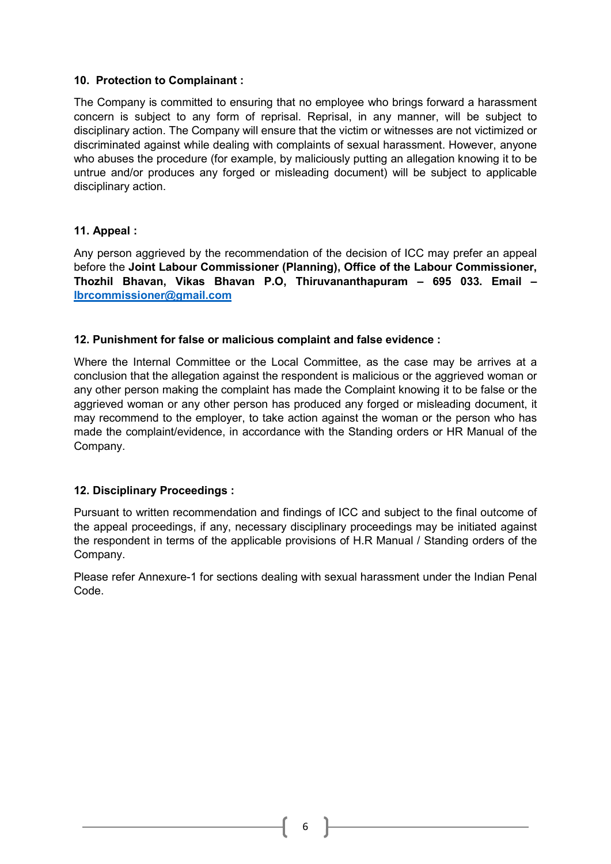# 10. Protection to Complainant :

The Company is committed to ensuring that no employee who brings forward a harassment concern is subject to any form of reprisal. Reprisal, in any manner, will be subject to disciplinary action. The Company will ensure that the victim or witnesses are not victimized or discriminated against while dealing with complaints of sexual harassment. However, anyone who abuses the procedure (for example, by maliciously putting an allegation knowing it to be untrue and/or produces any forged or misleading document) will be subject to applicable disciplinary action.

# 11. Appeal :

Any person aggrieved by the recommendation of the decision of ICC may prefer an appeal before the Joint Labour Commissioner (Planning), Office of the Labour Commissioner, Thozhil Bhavan, Vikas Bhavan P.O, Thiruvananthapuram – 695 033. Email – lbrcommissioner@gmail.com

# 12. Punishment for false or malicious complaint and false evidence :

Where the Internal Committee or the Local Committee, as the case may be arrives at a conclusion that the allegation against the respondent is malicious or the aggrieved woman or any other person making the complaint has made the Complaint knowing it to be false or the aggrieved woman or any other person has produced any forged or misleading document, it may recommend to the employer, to take action against the woman or the person who has made the complaint/evidence, in accordance with the Standing orders or HR Manual of the Company.

## 12. Disciplinary Proceedings :

Pursuant to written recommendation and findings of ICC and subject to the final outcome of the appeal proceedings, if any, necessary disciplinary proceedings may be initiated against the respondent in terms of the applicable provisions of H.R Manual / Standing orders of the Company.

Please refer Annexure-1 for sections dealing with sexual harassment under the Indian Penal Code.